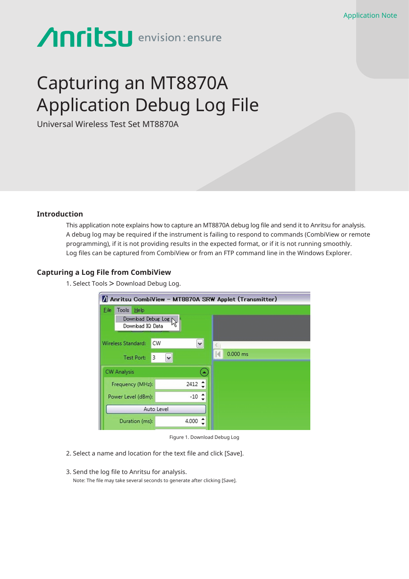# Anritsu envision: ensure

## Capturing an MT8870A Application Debug Log File

Universal Wireless Test Set MT8870A

#### **Introduction**

This application note explains how to capture an MT8870A debug log file and send it to Anritsu for analysis. A debug log may be required if the instrument is failing to respond to commands (CombiView or remote programming), if it is not providing results in the expected format, or if it is not running smoothly. Log files can be captured from CombiView or from an FTP command line in the Windows Explorer.

#### **Capturing a Log File from CombiView**

1. Select Tools > Download Debug Log.

| Anritsu CombiView - MT8870A SRW Applet (Transmitter)                   |                  |                      |            |
|------------------------------------------------------------------------|------------------|----------------------|------------|
| Eile<br><b>Tools</b><br>Help<br>Download Debug Log<br>Download IQ Data |                  |                      |            |
| Wireless Standard:<br>3<br>Test Port:                                  | <b>CW</b>        | $\ddot{\phantom{0}}$ | $0.000$ ms |
| <b>CW Analysis</b>                                                     |                  |                      |            |
| Frequency (MHz):                                                       | $2412 \div$      |                      |            |
| Power Level (dBm):                                                     | $-10$ $\uparrow$ |                      |            |
| Auto Level                                                             |                  |                      |            |
| Duration (ms):                                                         | 4.000            |                      |            |

Figure 1. Download Debug Log

- 2. Select a name and location for the text file and click [Save].
- 3. Send the log file to Anritsu for analysis. Note: The file may take several seconds to generate after clicking [Save].